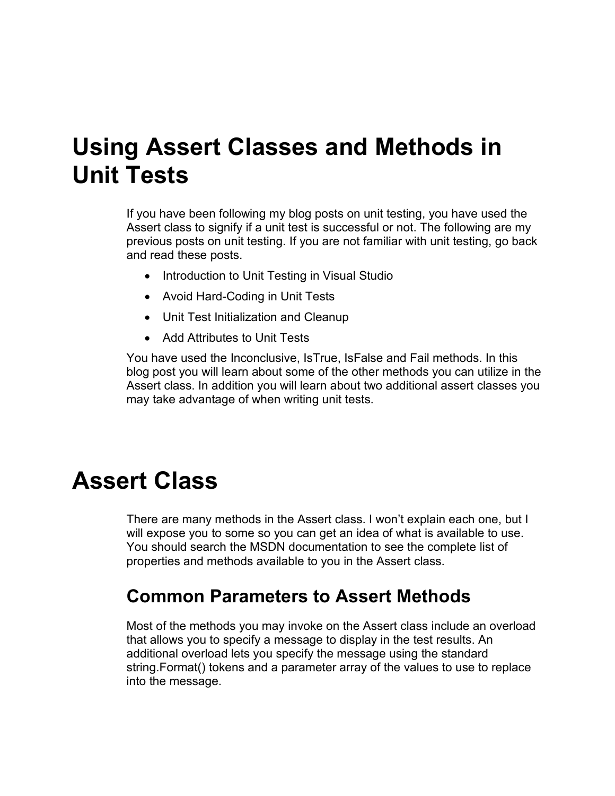## **Using Assert Classes and Methods in Unit Tests**

If you have been following my blog posts on unit testing, you have used the Assert class to signify if a unit test is successful or not. The following are my previous posts on unit testing. If you are not familiar with unit testing, go back and read these posts.

- Introduction to Unit Testing in Visual Studio
- Avoid Hard-Coding in Unit Tests
- Unit Test Initialization and Cleanup
- Add Attributes to Unit Tests

You have used the Inconclusive, IsTrue, IsFalse and Fail methods. In this blog post you will learn about some of the other methods you can utilize in the Assert class. In addition you will learn about two additional assert classes you may take advantage of when writing unit tests.

### **Assert Class**

There are many methods in the Assert class. I won't explain each one, but I will expose you to some so you can get an idea of what is available to use. You should search the MSDN documentation to see the complete list of properties and methods available to you in the Assert class.

#### **Common Parameters to Assert Methods**

Most of the methods you may invoke on the Assert class include an overload that allows you to specify a message to display in the test results. An additional overload lets you specify the message using the standard string.Format() tokens and a parameter array of the values to use to replace into the message.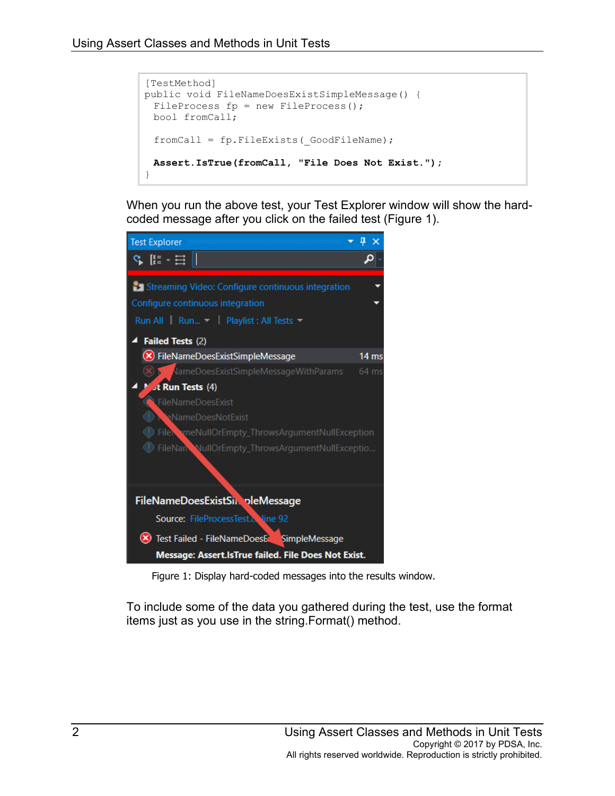```
[TestMethod]
public void FileNameDoesExistSimpleMessage() {
 FileProcess fp = new FileProcess();
 bool fromCall;
 fromCall = fp.FileExists(_GoodFileName);
 Assert.IsTrue(fromCall, "File Does Not Exist.");
}
```
When you run the above test, your Test Explorer window will show the hardcoded message after you click on the failed test [\(Figure 1\)](#page-1-0).



Figure 1: Display hard-coded messages into the results window.

<span id="page-1-0"></span>To include some of the data you gathered during the test, use the format items just as you use in the string.Format() method.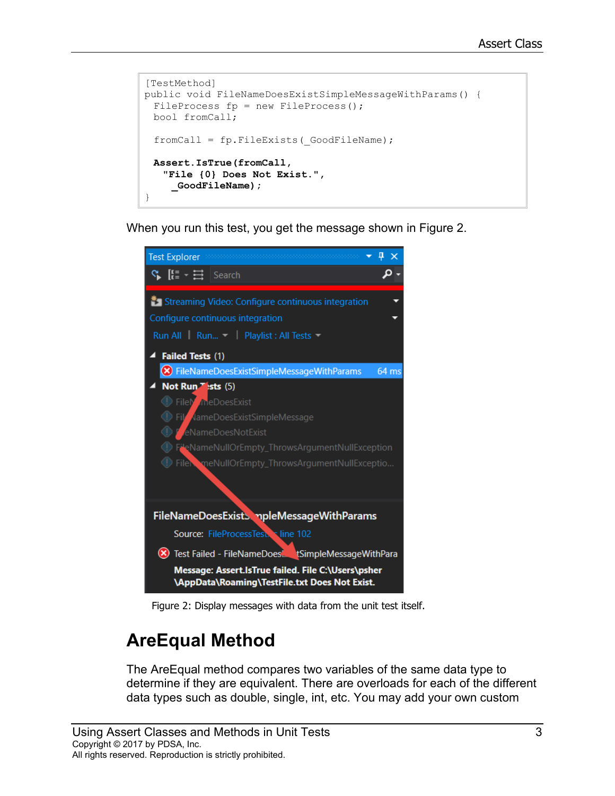```
[TestMethod]
public void FileNameDoesExistSimpleMessageWithParams() {
 FileProcess fp = new FileProcess();
 bool fromCall;
 fromCall = fp.FileExists(_GoodFileName);
 Assert.IsTrue(fromCall, 
   "File {0} Does Not Exist.", 
    _GoodFileName);
}
```
When you run this test, you get the message shown in [Figure 2.](#page-2-0)



Figure 2: Display messages with data from the unit test itself.

### <span id="page-2-0"></span>**AreEqual Method**

The AreEqual method compares two variables of the same data type to determine if they are equivalent. There are overloads for each of the different data types such as double, single, int, etc. You may add your own custom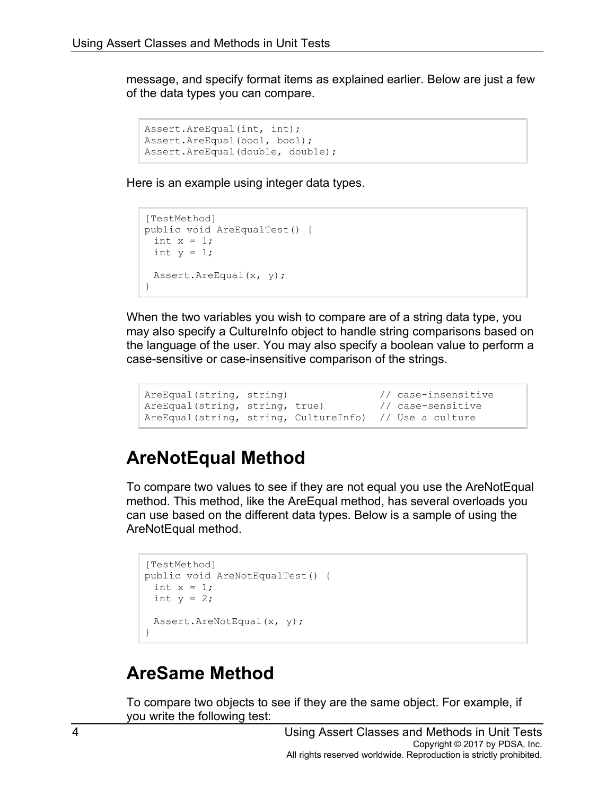message, and specify format items as explained earlier. Below are just a few of the data types you can compare.

```
Assert.AreEqual(int, int);
Assert.AreEqual(bool, bool);
Assert.AreEqual(double, double);
```
Here is an example using integer data types.

```
[TestMethod]
public void AreEqualTest() {
 int x = 1;
 int y = 1;
 Assert.AreEqual(x, y);
}
```
When the two variables you wish to compare are of a string data type, you may also specify a CultureInfo object to handle string comparisons based on the language of the user. You may also specify a boolean value to perform a case-sensitive or case-insensitive comparison of the strings.

```
AreEqual(string, string) // case-insensitive
AreEqual(string, string, true) // case-sensitive
AreEqual(string, string, CultureInfo) // Use a culture
```
#### **AreNotEqual Method**

To compare two values to see if they are not equal you use the AreNotEqual method. This method, like the AreEqual method, has several overloads you can use based on the different data types. Below is a sample of using the AreNotEqual method.

```
[TestMethod]
public void AreNotEqualTest() {
 int x = 1;
 int y = 2;
 Assert.AreNotEqual(x, y);
}
```
#### **AreSame Method**

To compare two objects to see if they are the same object. For example, if you write the following test: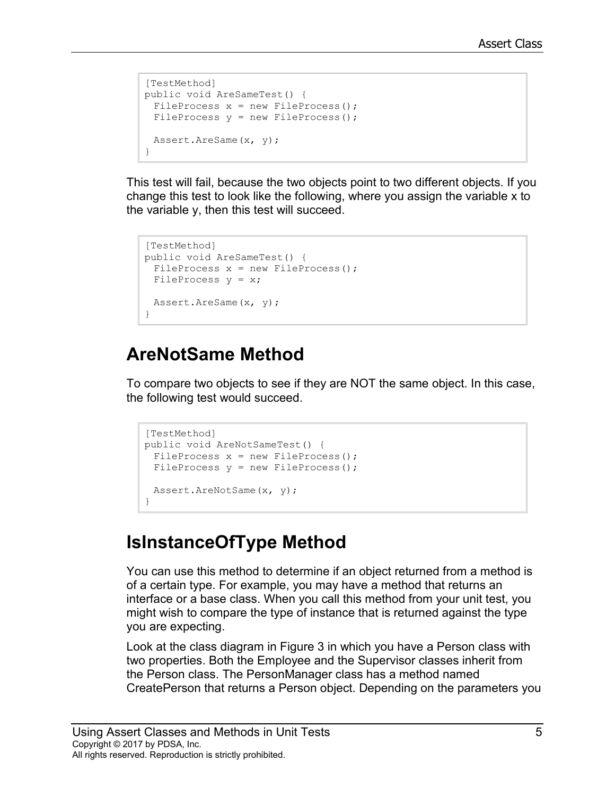```
[TestMethod]
public void AreSameTest() {
 FileProcess x = new FileProcess();
 FileProcess y = new FileProcess();
 Assert.AreSame(x, y);
}
```
This test will fail, because the two objects point to two different objects. If you change this test to look like the following, where you assign the variable x to the variable y, then this test will succeed.

```
[TestMethod]
public void AreSameTest() {
 FileProcess x = new FileProcess();
 FileProcess y = x;Assert.AreSame(x, y);
}
```
#### **AreNotSame Method**

To compare two objects to see if they are NOT the same object. In this case, the following test would succeed.

```
[TestMethod]
public void AreNotSameTest() {
 FileProcess x = new FileProcess();
 FileProcess y = new FileProcess();
 Assert.AreNotSame(x, y);
}
```
### **IsInstanceOfType Method**

You can use this method to determine if an object returned from a method is of a certain type. For example, you may have a method that returns an interface or a base class. When you call this method from your unit test, you might wish to compare the type of instance that is returned against the type you are expecting.

Look at the class diagram in [Figure 3](#page-5-0) in which you have a Person class with two properties. Both the Employee and the Supervisor classes inherit from the Person class. The PersonManager class has a method named CreatePerson that returns a Person object. Depending on the parameters you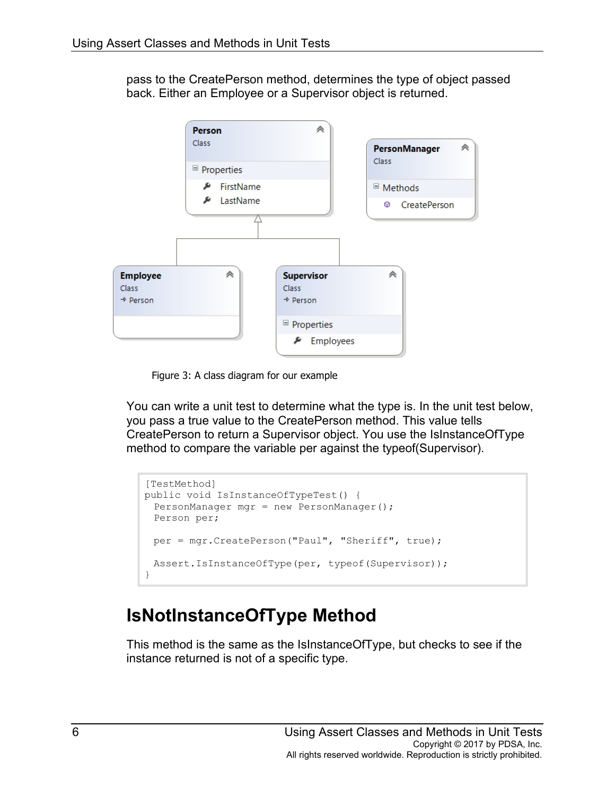pass to the CreatePerson method, determines the type of object passed back. Either an Employee or a Supervisor object is returned.



Figure 3: A class diagram for our example

<span id="page-5-0"></span>You can write a unit test to determine what the type is. In the unit test below, you pass a true value to the CreatePerson method. This value tells CreatePerson to return a Supervisor object. You use the IsInstanceOfType method to compare the variable per against the typeof(Supervisor).

```
[TestMethod]
public void IsInstanceOfTypeTest() {
 PersonManager mgr = new PersonManager();
 Person per;
 per = mgr.CreatePerson("Paul", "Sheriff", true);
 Assert.IsInstanceOfType(per, typeof(Supervisor));
}
```
#### **IsNotInstanceOfType Method**

This method is the same as the IsInstanceOfType, but checks to see if the instance returned is not of a specific type.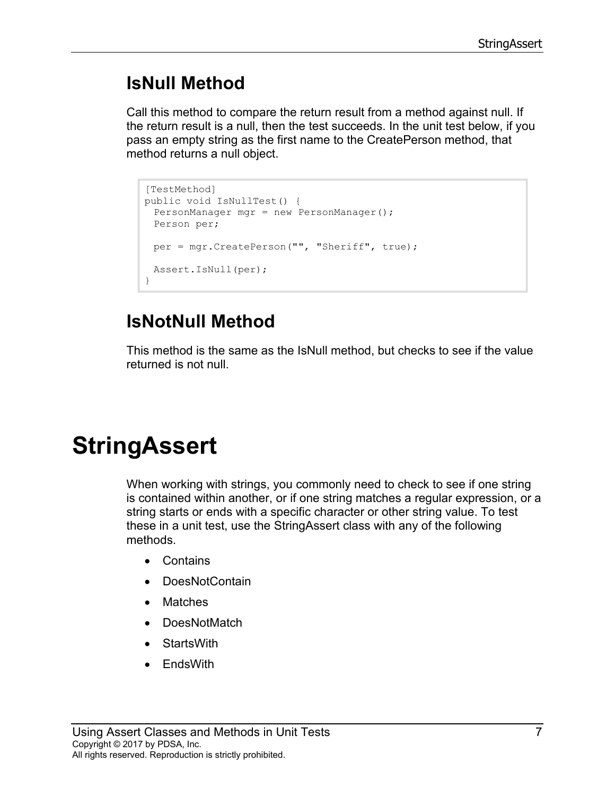#### **IsNull Method**

Call this method to compare the return result from a method against null. If the return result is a null, then the test succeeds. In the unit test below, if you pass an empty string as the first name to the CreatePerson method, that method returns a null object.

```
[TestMethod]
public void IsNullTest() {
 PersonManager mgr = new PersonManager();
 Person per;
 per = mgr.CreatePerson("", "Sheriff", true);
 Assert.IsNull(per);
}
```
### **IsNotNull Method**

This method is the same as the IsNull method, but checks to see if the value returned is not null.

## **StringAssert**

When working with strings, you commonly need to check to see if one string is contained within another, or if one string matches a regular expression, or a string starts or ends with a specific character or other string value. To test these in a unit test, use the StringAssert class with any of the following methods.

- Contains
- DoesNotContain
- **Matches**
- DoesNotMatch
- StartsWith
- EndsWith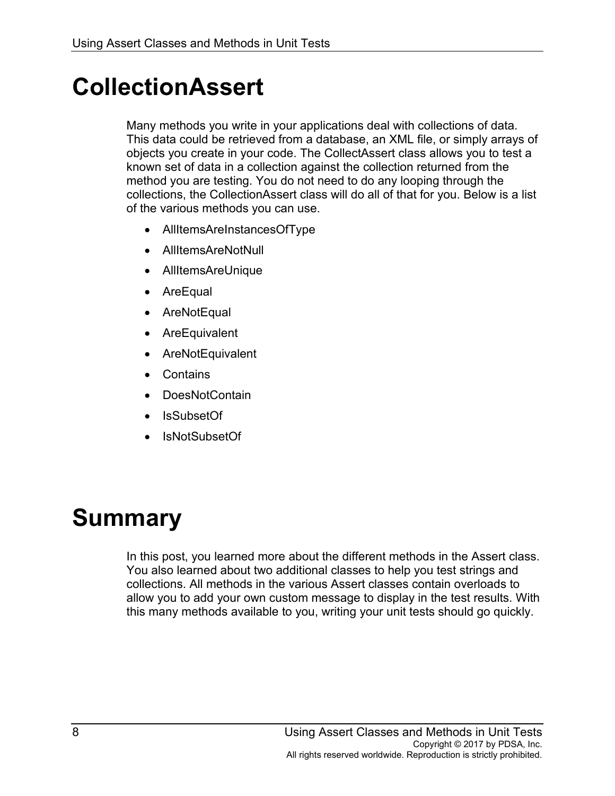## **CollectionAssert**

Many methods you write in your applications deal with collections of data. This data could be retrieved from a database, an XML file, or simply arrays of objects you create in your code. The CollectAssert class allows you to test a known set of data in a collection against the collection returned from the method you are testing. You do not need to do any looping through the collections, the CollectionAssert class will do all of that for you. Below is a list of the various methods you can use.

- AllItemsAreInstancesOfType
- AllItemsAreNotNull
- AllItemsAreUnique
- **AreEqual**
- AreNotEqual
- **AreEquivalent**
- **AreNotEquivalent**
- **Contains**
- DoesNotContain
- IsSubsetOf
- IsNotSubsetOf

## **Summary**

In this post, you learned more about the different methods in the Assert class. You also learned about two additional classes to help you test strings and collections. All methods in the various Assert classes contain overloads to allow you to add your own custom message to display in the test results. With this many methods available to you, writing your unit tests should go quickly.